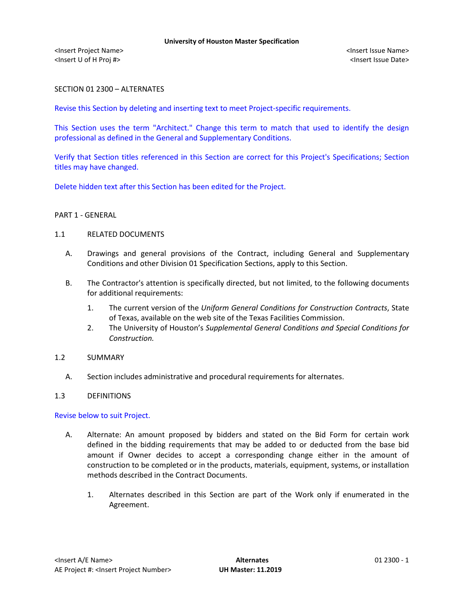<Insert Project Name> <Insert Issue Name> <Insert U of H Proj #> <Insert Issue Date>

# SECTION 01 2300 – ALTERNATES

Revise this Section by deleting and inserting text to meet Project-specific requirements.

This Section uses the term "Architect." Change this term to match that used to identify the design professional as defined in the General and Supplementary Conditions.

Verify that Section titles referenced in this Section are correct for this Project's Specifications; Section titles may have changed.

Delete hidden text after this Section has been edited for the Project.

### PART 1 - GENERAL

### 1.1 RELATED DOCUMENTS

- A. Drawings and general provisions of the Contract, including General and Supplementary Conditions and other Division 01 Specification Sections, apply to this Section.
- B. The Contractor's attention is specifically directed, but not limited, to the following documents for additional requirements:
	- 1. The current version of the *Uniform General Conditions for Construction Contracts*, State of Texas, available on the web site of the Texas Facilities Commission.
	- 2. The University of Houston's *Supplemental General Conditions and Special Conditions for Construction.*

## 1.2 SUMMARY

A. Section includes administrative and procedural requirements for alternates.

## 1.3 DEFINITIONS

Revise below to suit Project.

- A. Alternate: An amount proposed by bidders and stated on the Bid Form for certain work defined in the bidding requirements that may be added to or deducted from the base bid amount if Owner decides to accept a corresponding change either in the amount of construction to be completed or in the products, materials, equipment, systems, or installation methods described in the Contract Documents.
	- 1. Alternates described in this Section are part of the Work only if enumerated in the Agreement.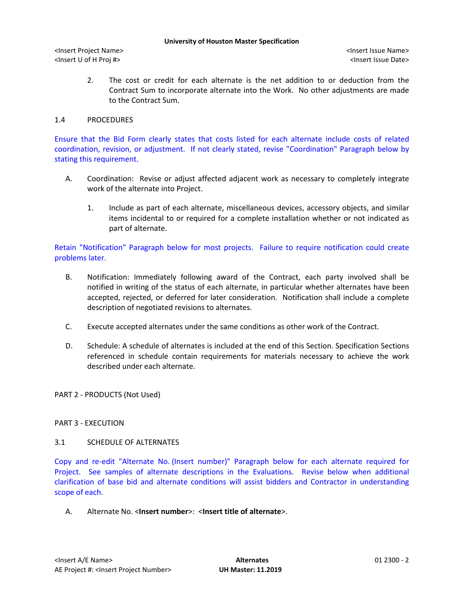#### **University of Houston Master Specification**

<Insert Project Name> <Insert Issue Name> <Insert U of H Proj #> <Insert Issue Date>

2. The cost or credit for each alternate is the net addition to or deduction from the Contract Sum to incorporate alternate into the Work. No other adjustments are made to the Contract Sum.

## 1.4 PROCEDURES

Ensure that the Bid Form clearly states that costs listed for each alternate include costs of related coordination, revision, or adjustment. If not clearly stated, revise "Coordination" Paragraph below by stating this requirement.

- A. Coordination: Revise or adjust affected adjacent work as necessary to completely integrate work of the alternate into Project.
	- 1. Include as part of each alternate, miscellaneous devices, accessory objects, and similar items incidental to or required for a complete installation whether or not indicated as part of alternate.

Retain "Notification" Paragraph below for most projects. Failure to require notification could create problems later.

- B. Notification: Immediately following award of the Contract, each party involved shall be notified in writing of the status of each alternate, in particular whether alternates have been accepted, rejected, or deferred for later consideration. Notification shall include a complete description of negotiated revisions to alternates.
- C. Execute accepted alternates under the same conditions as other work of the Contract.
- D. Schedule: A schedule of alternates is included at the end of this Section. Specification Sections referenced in schedule contain requirements for materials necessary to achieve the work described under each alternate.

PART 2 - PRODUCTS (Not Used)

# PART 3 - EXECUTION

## 3.1 SCHEDULE OF ALTERNATES

Copy and re-edit "Alternate No. (Insert number)" Paragraph below for each alternate required for Project. See samples of alternate descriptions in the Evaluations. Revise below when additional clarification of base bid and alternate conditions will assist bidders and Contractor in understanding scope of each.

A. Alternate No. <**Insert number**>: <**Insert title of alternate**>.